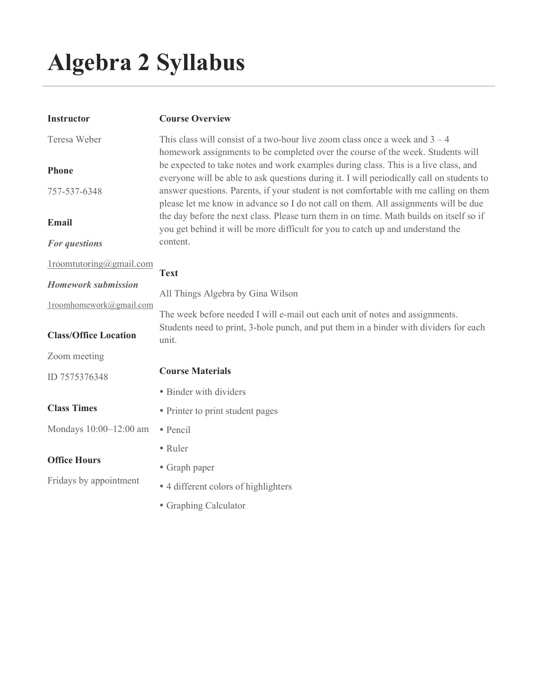# Algebra 2 Syllabus

| Instructor                                            | <b>Course Overview</b>                                                                                                                                                                                                                                                                                                                                                                                                                              |  |  |
|-------------------------------------------------------|-----------------------------------------------------------------------------------------------------------------------------------------------------------------------------------------------------------------------------------------------------------------------------------------------------------------------------------------------------------------------------------------------------------------------------------------------------|--|--|
| Teresa Weber                                          | This class will consist of a two-hour live zoom class once a week and $3 - 4$                                                                                                                                                                                                                                                                                                                                                                       |  |  |
| Phone<br>757-537-6348                                 | homework assignments to be completed over the course of the week. Students will<br>be expected to take notes and work examples during class. This is a live class, and<br>everyone will be able to ask questions during it. I will periodically call on students to<br>answer questions. Parents, if your student is not comfortable with me calling on them<br>please let me know in advance so I do not call on them. All assignments will be due |  |  |
| Email                                                 | the day before the next class. Please turn them in on time. Math builds on itself so if<br>you get behind it will be more difficult for you to catch up and understand the<br>content.                                                                                                                                                                                                                                                              |  |  |
| For questions                                         |                                                                                                                                                                                                                                                                                                                                                                                                                                                     |  |  |
| $1$ roomtutoring@gmail.com                            | <b>Text</b>                                                                                                                                                                                                                                                                                                                                                                                                                                         |  |  |
| <b>Homework submission</b><br>1roomhomework@gmail.com | All Things Algebra by Gina Wilson<br>The week before needed I will e-mail out each unit of notes and assignments.                                                                                                                                                                                                                                                                                                                                   |  |  |
| <b>Class/Office Location</b>                          | Students need to print, 3-hole punch, and put them in a binder with dividers for each<br>unit.                                                                                                                                                                                                                                                                                                                                                      |  |  |
| Zoom meeting                                          |                                                                                                                                                                                                                                                                                                                                                                                                                                                     |  |  |
| ID 7575376348                                         | <b>Course Materials</b>                                                                                                                                                                                                                                                                                                                                                                                                                             |  |  |
|                                                       | • Binder with dividers                                                                                                                                                                                                                                                                                                                                                                                                                              |  |  |
| <b>Class Times</b>                                    | • Printer to print student pages                                                                                                                                                                                                                                                                                                                                                                                                                    |  |  |
| Mondays 10:00-12:00 am                                | · Pencil                                                                                                                                                                                                                                                                                                                                                                                                                                            |  |  |
|                                                       | • Ruler                                                                                                                                                                                                                                                                                                                                                                                                                                             |  |  |
| <b>Office Hours</b>                                   | • Graph paper                                                                                                                                                                                                                                                                                                                                                                                                                                       |  |  |
| Fridays by appointment                                | • 4 different colors of highlighters                                                                                                                                                                                                                                                                                                                                                                                                                |  |  |
|                                                       | • Graphing Calculator                                                                                                                                                                                                                                                                                                                                                                                                                               |  |  |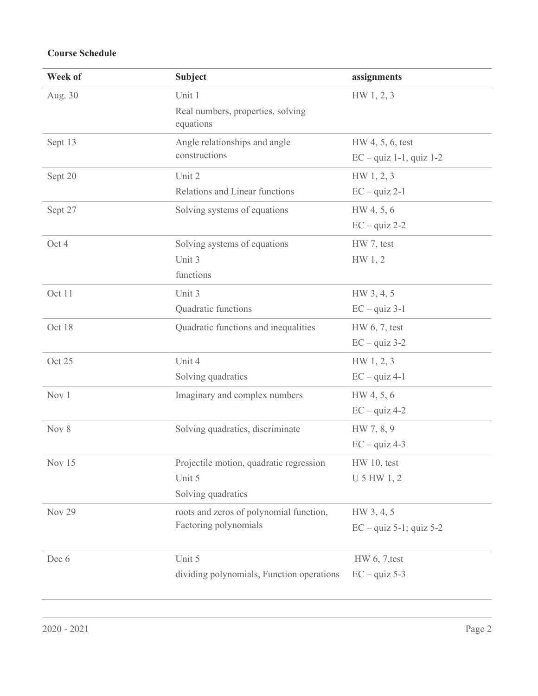## Course Schedule

| Week of       | <b>Subject</b>                                 | assignments                        |
|---------------|------------------------------------------------|------------------------------------|
| Aug. 30       | Unit 1                                         | HW 1, 2, 3                         |
|               | Real numbers, properties, solving<br>equations |                                    |
| Sept 13       | Angle relationships and angle                  | HW 4, 5, 6, test                   |
|               | constructions                                  | $EC - quiz 1-1, quiz 1-2$          |
| Sept 20       | Unit 2                                         | HW 1, 2, 3                         |
|               | Relations and Linear functions                 | $EC - quiz 2-1$                    |
| Sept 27       | Solving systems of equations                   | HW 4, 5, 6                         |
|               |                                                | $EC - quiz 2-2$                    |
| Oct 4         | Solving systems of equations                   | HW 7, test                         |
|               | Unit 3                                         | HW 1, 2                            |
|               | functions                                      |                                    |
| Oct 11        | Unit 3                                         | HW 3, 4, 5                         |
|               | Quadratic functions                            | $EC - quiz 3-1$                    |
| Oct 18        | Quadratic functions and inequalities           | HW 6, 7, test                      |
|               |                                                | $EC - quiz 3-2$                    |
| Oct 25        | Unit 4                                         | HW 1, 2, 3                         |
|               | Solving quadratics                             | $EC - quiz 4-1$                    |
| Nov 1         | Imaginary and complex numbers                  | HW 4, 5, 6                         |
|               |                                                | $EC - quiz 4-2$                    |
| Nov 8         | Solving quadratics, discriminate               | HW 7, 8, 9                         |
|               |                                                | $EC - quiz 4-3$                    |
| Nov 15        | Projectile motion, quadratic regression        | HW 10, test                        |
|               | Unit 5                                         | U 5 HW 1, 2                        |
|               | Solving quadratics                             |                                    |
| <b>Nov 29</b> | roots and zeros of polynomial function,        | HW 3, 4, 5                         |
|               | Factoring polynomials                          | $EC - \text{quiz } 5-1$ ; quiz 5-2 |
| Dec 6         | Unit 5                                         | HW 6, 7, test                      |
|               | dividing polynomials, Function operations      | $EC - quiz 5-3$                    |
|               |                                                |                                    |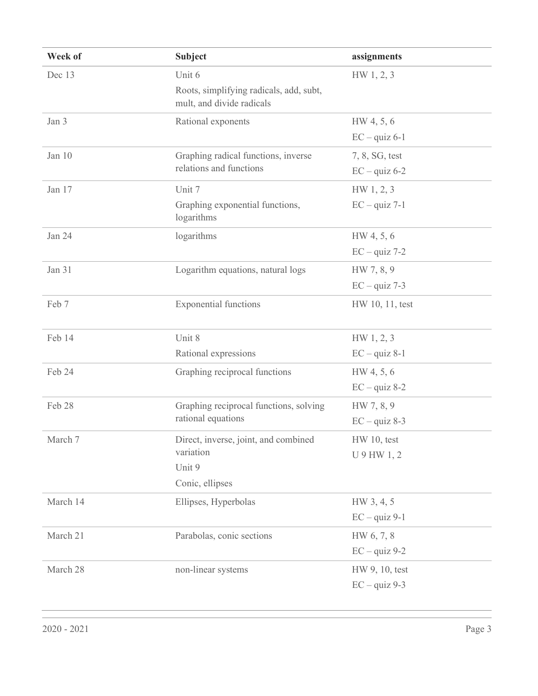| Week of  | <b>Subject</b>                                                       | assignments     |
|----------|----------------------------------------------------------------------|-----------------|
| Dec 13   | Unit 6                                                               | HW 1, 2, 3      |
|          | Roots, simplifying radicals, add, subt,<br>mult, and divide radicals |                 |
| Jan 3    | Rational exponents                                                   | HW 4, 5, 6      |
|          |                                                                      | $EC - quiz 6-1$ |
| Jan 10   | Graphing radical functions, inverse<br>relations and functions       | 7, 8, SG, test  |
|          |                                                                      | $EC - quiz 6-2$ |
| Jan 17   | Unit 7                                                               | HW 1, 2, 3      |
|          | Graphing exponential functions,<br>logarithms                        | $EC - quiz 7-1$ |
| Jan 24   | logarithms                                                           | HW 4, 5, 6      |
|          |                                                                      | $EC - quiz$ 7-2 |
| Jan 31   | Logarithm equations, natural logs                                    | HW 7, 8, 9      |
|          |                                                                      | $EC - quiz$ 7-3 |
| Feb 7    | <b>Exponential functions</b>                                         | HW 10, 11, test |
| Feb 14   | Unit 8                                                               | HW 1, 2, 3      |
|          | Rational expressions                                                 | $EC - quiz 8-1$ |
| Feb 24   | Graphing reciprocal functions                                        | HW 4, 5, 6      |
|          |                                                                      | $EC - quiz 8-2$ |
| Feb 28   | Graphing reciprocal functions, solving<br>rational equations         | HW 7, 8, 9      |
|          |                                                                      | $EC - quiz 8-3$ |
| March 7  | Direct, inverse, joint, and combined<br>variation                    | $HW 10$ , test  |
|          |                                                                      | U 9 HW 1, 2     |
|          | Unit 9                                                               |                 |
|          | Conic, ellipses                                                      |                 |
| March 14 | Ellipses, Hyperbolas                                                 | HW 3, 4, 5      |
|          |                                                                      | $EC - quiz 9-1$ |
| March 21 | Parabolas, conic sections                                            | HW 6, 7, 8      |
|          |                                                                      | $EC - quiz 9-2$ |
| March 28 | non-linear systems                                                   | HW 9, 10, test  |
|          |                                                                      | $EC - quiz$ 9-3 |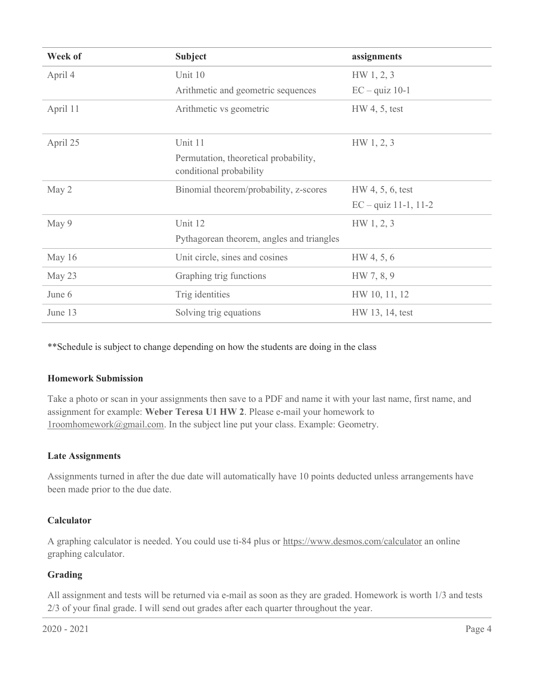| Week of  | <b>Subject</b>                                                   | assignments            |
|----------|------------------------------------------------------------------|------------------------|
| April 4  | Unit 10                                                          | HW 1, 2, 3             |
|          | Arithmetic and geometric sequences                               | $EC - quiz$ 10-1       |
| April 11 | Arithmetic vs geometric                                          | $HW 4, 5$ , test       |
| April 25 | Unit 11                                                          | HW 1, 2, 3             |
|          | Permutation, theoretical probability,<br>conditional probability |                        |
| May 2    | Binomial theorem/probability, z-scores                           | HW 4, 5, 6, test       |
|          |                                                                  | $EC - quiz$ 11-1, 11-2 |
| May 9    | Unit 12                                                          | HW 1, 2, 3             |
|          | Pythagorean theorem, angles and triangles                        |                        |
| May 16   | Unit circle, sines and cosines                                   | HW 4, 5, 6             |
| May 23   | Graphing trig functions                                          | HW 7, 8, 9             |
| June 6   | Trig identities                                                  | HW 10, 11, 12          |
| June 13  | Solving trig equations                                           | HW 13, 14, test        |

\*\*Schedule is subject to change depending on how the students are doing in the class

### Homework Submission

Take a photo or scan in your assignments then save to a PDF and name it with your last name, first name, and assignment for example: Weber Teresa U1 HW 2. Please e-mail your homework to 1roomhomework@gmail.com. In the subject line put your class. Example: Geometry.

#### Late Assignments

Assignments turned in after the due date will automatically have 10 points deducted unless arrangements have been made prior to the due date.

### Calculator

A graphing calculator is needed. You could use ti-84 plus or https://www.desmos.com/calculator an online graphing calculator.

### Grading

All assignment and tests will be returned via e-mail as soon as they are graded. Homework is worth 1/3 and tests 2/3 of your final grade. I will send out grades after each quarter throughout the year.